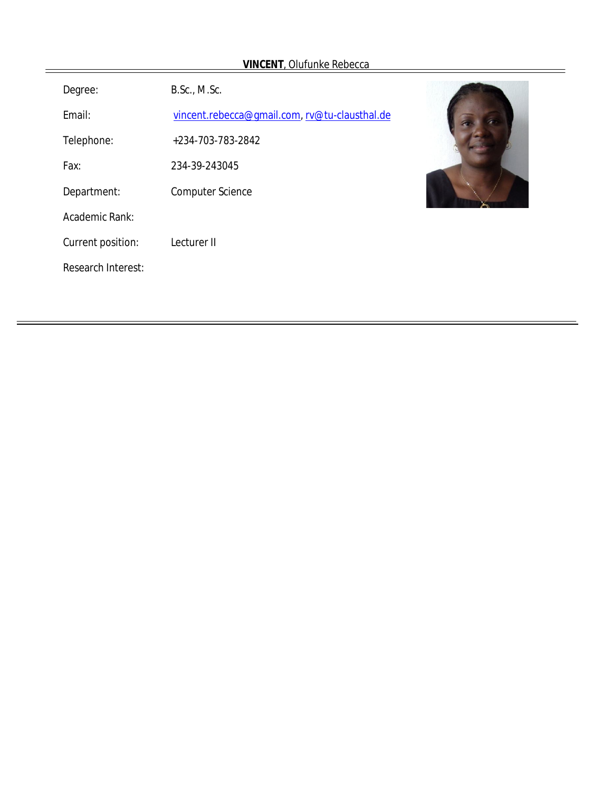| <b>VINCENT</b> , Oldfunke Redecca |                                               |  |
|-----------------------------------|-----------------------------------------------|--|
| Degree:                           | B.Sc., M.Sc.                                  |  |
| Email:                            | vincent.rebecca@gmail.com, rv@tu-clausthal.de |  |
| Telephone:                        | +234-703-783-2842                             |  |
| Fax:                              | 234-39-243045                                 |  |
| Department:                       | <b>Computer Science</b>                       |  |
| Academic Rank:                    |                                               |  |
| Current position:                 | Lecturer II                                   |  |
| <b>Research Interest:</b>         |                                               |  |
|                                   |                                               |  |

# **VINCENT**, Olufunke Reb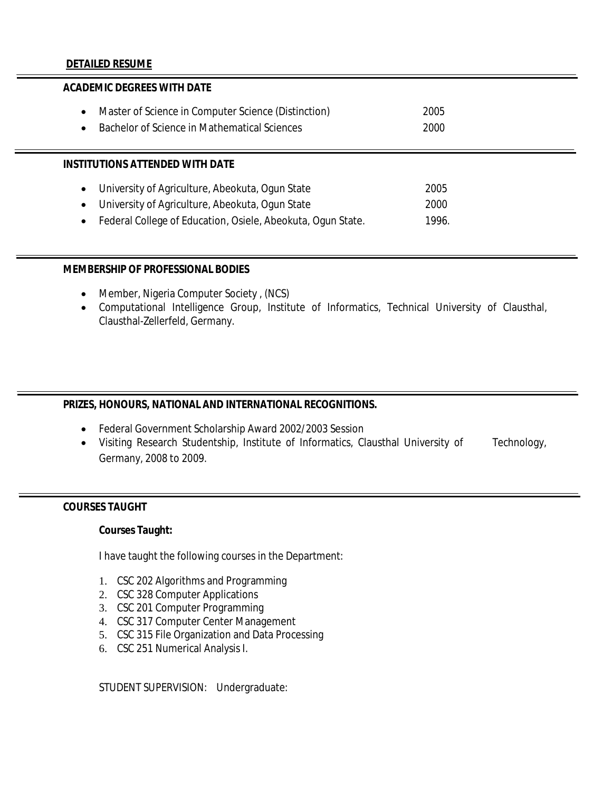#### **DETAILED RESUME**

# **ACADEMIC DEGREES WITH DATE**  Master of Science in Computer Science (Distinction) 2005 Bachelor of Science in Mathematical Sciences 2000 **INSTITUTIONS ATTENDED WITH DATE** University of Agriculture, Abeokuta, Ogun State 2005 University of Agriculture, Abeokuta, Ogun State 2000 • Federal College of Education, Osiele, Abeokuta, Ogun State. 1996.

#### **MEMBERSHIP OF PROFESSIONAL BODIES**

- Member, Nigeria Computer Society , (NCS)
- Computational Intelligence Group, Institute of Informatics, Technical University of Clausthal, Clausthal-Zellerfeld, Germany.

# **PRIZES, HONOURS, NATIONAL AND INTERNATIONAL RECOGNITIONS.**

- Federal Government Scholarship Award 2002/2003 Session
- Visiting Research Studentship, Institute of Informatics, Clausthal University of Technology, Germany, 2008 to 2009.

#### **COURSES TAUGHT**

#### **Courses Taught:**

I have taught the following courses in the Department:

- 1. CSC 202 Algorithms and Programming
- 2. CSC 328 Computer Applications
- 3. CSC 201 Computer Programming
- 4. CSC 317 Computer Center Management
- 5. CSC 315 File Organization and Data Processing
- 6. CSC 251 Numerical Analysis I.

STUDENT SUPERVISION: Undergraduate: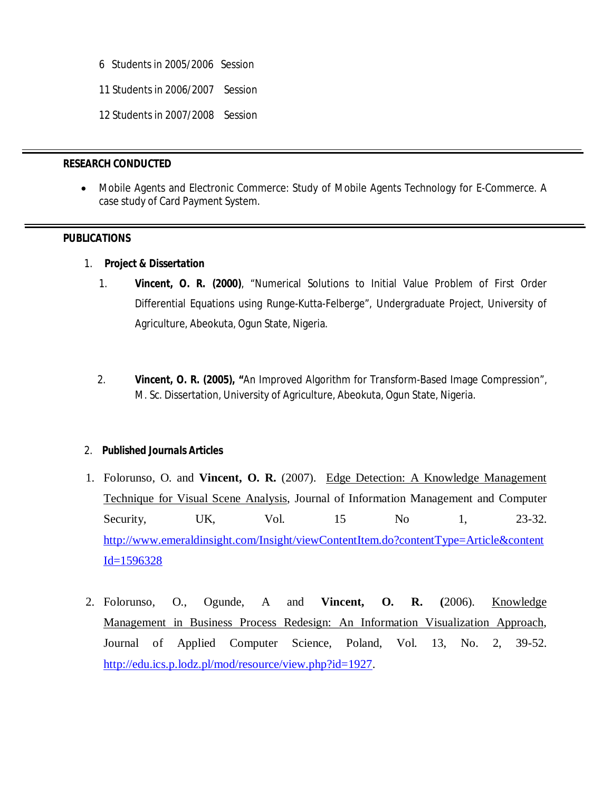- 6 Students in 2005/2006 Session
- 11 Students in 2006/2007 Session
- 12 Students in 2007/2008 Session

#### **RESEARCH CONDUCTED**

 Mobile Agents and Electronic Commerce: Study of Mobile Agents Technology for E-Commerce. A case study of Card Payment System.

#### **PUBLICATIONS**

- 1. *Project & Dissertation*
	- 1. **Vincent, O. R. (2000)**, "Numerical Solutions to Initial Value Problem of First Order Differential Equations using Runge-Kutta-Felberge", Undergraduate Project, University of Agriculture, Abeokuta, Ogun State, Nigeria.
	- 2. **Vincent, O. R. (2005), "**An Improved Algorithm for Transform-Based Image Compression", M. Sc. Dissertation, University of Agriculture, Abeokuta, Ogun State, Nigeria.

# 2. *Published Journals Articles*

- 1. Folorunso, O. and **Vincent, O. R.** (2007). Edge Detection: A Knowledge Management Technique for Visual Scene Analysis, Journal of Information Management and Computer Security, UK, Vol. 15 No 1, 23-32. http://www.emeraldinsight.com/Insight/viewContentItem.do?contentType=Article&content  $Id = 1596328$
- 2. Folorunso, O., Ogunde, A and **Vincent, O. R. (**2006). Knowledge Management in Business Process Redesign: An Information Visualization Approach, Journal of Applied Computer Science, Poland, Vol. 13, No. 2, 39-52. http://edu.ics.p.lodz.pl/mod/resource/view.php?id=1927.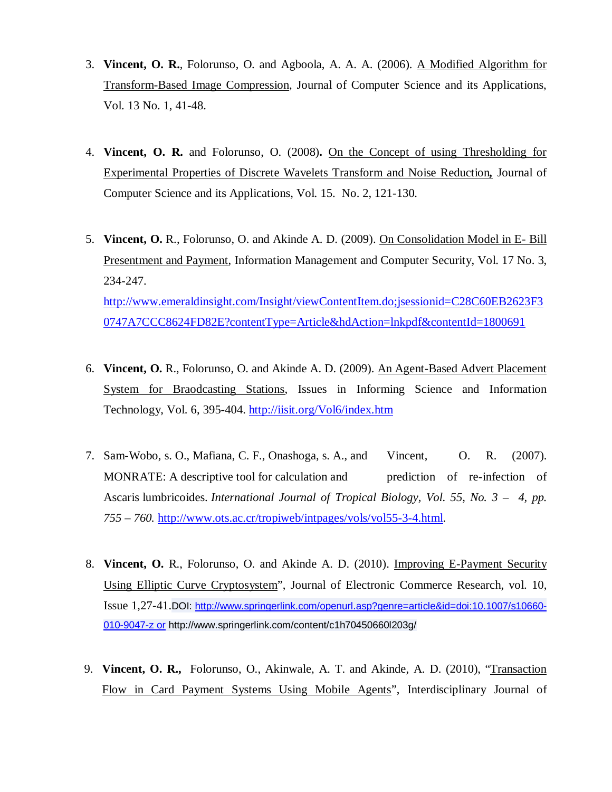- 3. **Vincent, O. R.**, Folorunso, O. and Agboola, A. A. A. (2006). A Modified Algorithm for Transform-Based Image Compression, Journal of Computer Science and its Applications, Vol. 13 No. 1, 41-48.
- 4. **Vincent, O. R.** and Folorunso, O. (2008)**.** On the Concept of using Thresholding for Experimental Properties of Discrete Wavelets Transform and Noise Reduction*,* Journal of Computer Science and its Applications, Vol. 15. No. 2, 121-130.
- 5. **Vincent, O.** R., Folorunso, O. and Akinde A. D. (2009). On Consolidation Model in E- Bill Presentment and Payment, Information Management and Computer Security, Vol. 17 No. 3, 234-247. http://www.emeraldinsight.com/Insight/viewContentItem.do;jsessionid=C28C60EB2623F3 0747A7CCC8624FD82E?contentType=Article&hdAction=lnkpdf&contentId=1800691
- 6. **Vincent, O.** R., Folorunso, O. and Akinde A. D. (2009). An Agent-Based Advert Placement System for Braodcasting Stations, Issues in Informing Science and Information Technology, Vol. 6, 395-404. http://iisit.org/Vol6/index.htm
- 7. Sam-Wobo, s. O., Mafiana, C. F., Onashoga, s. A., and Vincent, O. R. (2007). MONRATE: A descriptive tool for calculation and prediction of re-infection of Ascaris lumbricoides. *International Journal of Tropical Biology, Vol. 55, No. 3 – 4, pp. 755 – 760.* http://www.ots.ac.cr/tropiweb/intpages/vols/vol55-3-4.html.
- 8. **Vincent, O.** R., Folorunso, O. and Akinde A. D. (2010). Improving E-Payment Security Using Elliptic Curve Cryptosystem", Journal of Electronic Commerce Research, vol. 10, Issue 1,27-41.DOI: http://www.springerlink.com/openurl.asp?genre=article&id=doi:10.1007/s10660- 010-9047-z or http://www.springerlink.com/content/c1h70450660l203g/
- 9. **Vincent, O. R.,** Folorunso, O., Akinwale, A. T. and Akinde, A. D. (2010), "Transaction Flow in Card Payment Systems Using Mobile Agents", Interdisciplinary Journal of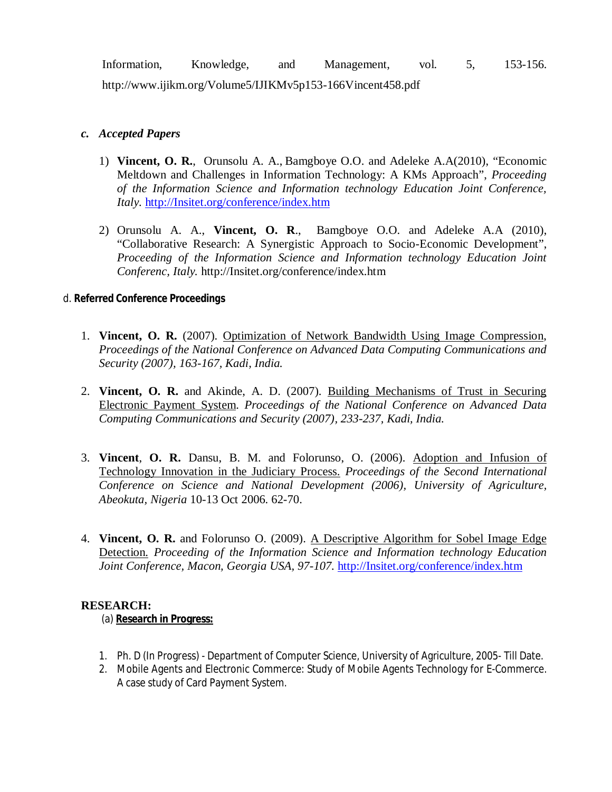Information, Knowledge, and Management, vol. 5, 153-156.

http://www.ijikm.org/Volume5/IJIKMv5p153-166Vincent458.pdf

# *c. Accepted Papers*

- 1) **Vincent, O. R.**, Orunsolu A. A., Bamgboye O.O. and Adeleke A.A(2010), "Economic Meltdown and Challenges in Information Technology: A KMs Approach", *Proceeding of the Information Science and Information technology Education Joint Conference, Italy.* http://Insitet.org/conference/index.htm
- 2) Orunsolu A. A., **Vincent, O. R**., Bamgboye O.O. and Adeleke A.A (2010), "Collaborative Research: A Synergistic Approach to Socio-Economic Development", *Proceeding of the Information Science and Information technology Education Joint Conferenc, Italy.* http://Insitet.org/conference/index.htm

# d. *Referred Conference Proceedings*

- 1. **Vincent, O. R.** (2007). Optimization of Network Bandwidth Using Image Compression, *Proceedings of the National Conference on Advanced Data Computing Communications and Security (2007), 163-167, Kadi, India.*
- 2. **Vincent, O. R.** and Akinde, A. D. (2007). Building Mechanisms of Trust in Securing Electronic Payment System. *Proceedings of the National Conference on Advanced Data Computing Communications and Security (2007), 233-237, Kadi, India.*
- 3. **Vincent**, **O. R.** Dansu, B. M. and Folorunso, O. (2006). Adoption and Infusion of Technology Innovation in the Judiciary Process. *Proceedings of the Second International Conference on Science and National Development (2006), University of Agriculture, Abeokuta, Nigeria* 10-13 Oct 2006. 62-70.
- 4. **Vincent, O. R.** and Folorunso O. (2009). A Descriptive Algorithm for Sobel Image Edge Detection. *Proceeding of the Information Science and Information technology Education Joint Conference, Macon, Georgia USA, 97-107.* http://Insitet.org/conference/index.htm

# **RESEARCH:**

(a) **Research in Progress:**

- 1. Ph. D (In Progress) Department of Computer Science, University of Agriculture, 2005- Till Date.
- 2. Mobile Agents and Electronic Commerce: Study of Mobile Agents Technology for E-Commerce. A case study of Card Payment System.